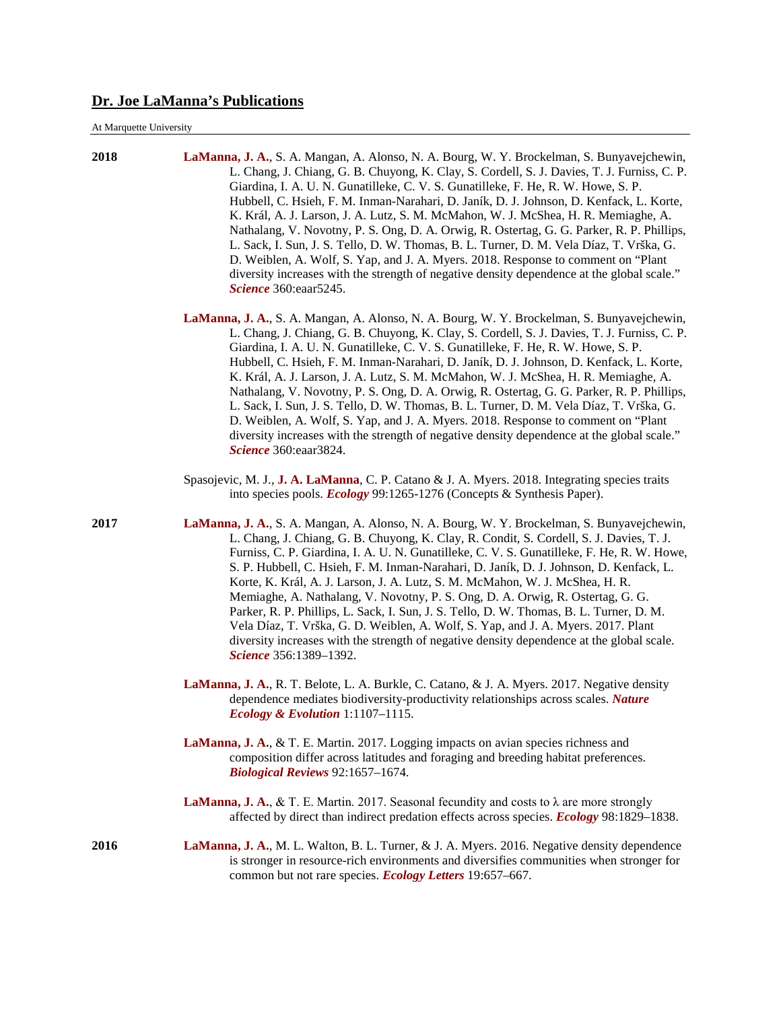## **Dr. Joe LaManna's Publications**

At Marquette University

**2018 LaManna, J. A.**, S. A. Mangan, A. Alonso, N. A. Bourg, W. Y. Brockelman, S. Bunyavejchewin, L. Chang, J. Chiang, G. B. Chuyong, K. Clay, S. Cordell, S. J. Davies, T. J. Furniss, C. P. Giardina, I. A. U. N. Gunatilleke, C. V. S. Gunatilleke, F. He, R. W. Howe, S. P. Hubbell, C. Hsieh, F. M. Inman-Narahari, D. Janík, D. J. Johnson, D. Kenfack, L. Korte, K. Král, A. J. Larson, J. A. Lutz, S. M. McMahon, W. J. McShea, H. R. Memiaghe, A. Nathalang, V. Novotny, P. S. Ong, D. A. Orwig, R. Ostertag, G. G. Parker, R. P. Phillips, L. Sack, I. Sun, J. S. Tello, D. W. Thomas, B. L. Turner, D. M. Vela Díaz, T. Vrška, G. D. Weiblen, A. Wolf, S. Yap, and J. A. Myers. 2018. Response to comment on "Plant diversity increases with the strength of negative density dependence at the global scale." *Science* 360:eaar5245.

> **LaManna, J. A.**, S. A. Mangan, A. Alonso, N. A. Bourg, W. Y. Brockelman, S. Bunyavejchewin, L. Chang, J. Chiang, G. B. Chuyong, K. Clay, S. Cordell, S. J. Davies, T. J. Furniss, C. P. Giardina, I. A. U. N. Gunatilleke, C. V. S. Gunatilleke, F. He, R. W. Howe, S. P. Hubbell, C. Hsieh, F. M. Inman-Narahari, D. Janík, D. J. Johnson, D. Kenfack, L. Korte, K. Král, A. J. Larson, J. A. Lutz, S. M. McMahon, W. J. McShea, H. R. Memiaghe, A. Nathalang, V. Novotny, P. S. Ong, D. A. Orwig, R. Ostertag, G. G. Parker, R. P. Phillips, L. Sack, I. Sun, J. S. Tello, D. W. Thomas, B. L. Turner, D. M. Vela Díaz, T. Vrška, G. D. Weiblen, A. Wolf, S. Yap, and J. A. Myers. 2018. Response to comment on "Plant diversity increases with the strength of negative density dependence at the global scale." *Science* 360:eaar3824.

Spasojevic, M. J., **J. A. LaManna**, C. P. Catano & J. A. Myers. 2018. Integrating species traits into species pools. *Ecology* 99:1265-1276 (Concepts & Synthesis Paper).

**2017 LaManna, J. A.**, S. A. Mangan, A. Alonso, N. A. Bourg, W. Y. Brockelman, S. Bunyavejchewin, L. Chang, J. Chiang, G. B. Chuyong, K. Clay, R. Condit, S. Cordell, S. J. Davies, T. J. Furniss, C. P. Giardina, I. A. U. N. Gunatilleke, C. V. S. Gunatilleke, F. He, R. W. Howe, S. P. Hubbell, C. Hsieh, F. M. Inman-Narahari, D. Janík, D. J. Johnson, D. Kenfack, L. Korte, K. Král, A. J. Larson, J. A. Lutz, S. M. McMahon, W. J. McShea, H. R. Memiaghe, A. Nathalang, V. Novotny, P. S. Ong, D. A. Orwig, R. Ostertag, G. G. Parker, R. P. Phillips, L. Sack, I. Sun, J. S. Tello, D. W. Thomas, B. L. Turner, D. M. Vela Díaz, T. Vrška, G. D. Weiblen, A. Wolf, S. Yap, and J. A. Myers. 2017. Plant diversity increases with the strength of negative density dependence at the global scale. *Science* 356:1389–1392.

> **LaManna, J. A.**, R. T. Belote, L. A. Burkle, C. Catano, & J. A. Myers. 2017. Negative density dependence mediates biodiversity-productivity relationships across scales. *Nature Ecology & Evolution* 1:1107–1115.

**LaManna, J. A.**, & T. E. Martin. 2017. Logging impacts on avian species richness and composition differ across latitudes and foraging and breeding habitat preferences. *Biological Reviews* 92:1657–1674*.* 

**LaManna, J. A.**, & T. E. Martin. 2017. Seasonal fecundity and costs to λ are more strongly affected by direct than indirect predation effects across species. *Ecology* 98:1829–1838.

**2016 LaManna, J. A.**, M. L. Walton, B. L. Turner, & J. A. Myers. 2016. Negative density dependence is stronger in resource-rich environments and diversifies communities when stronger for common but not rare species. *Ecology Letters* 19:657–667.